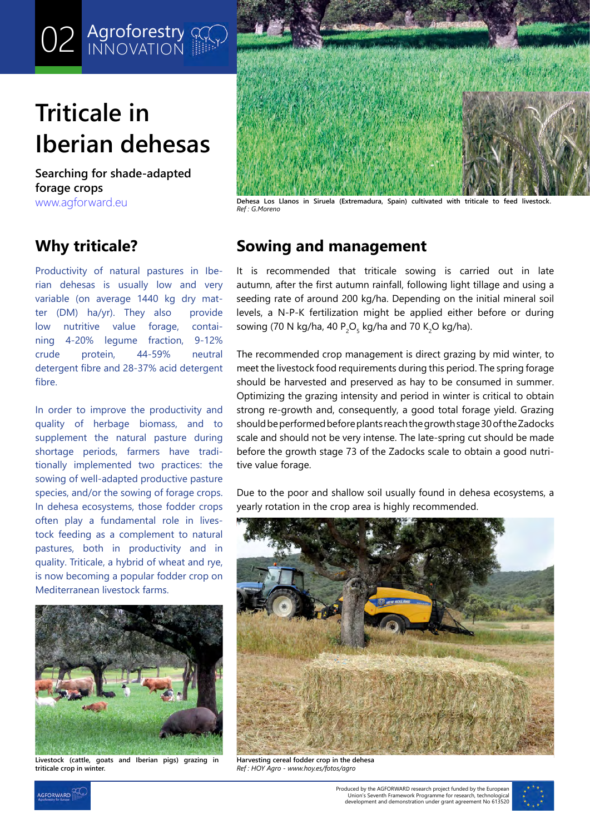# **Triticale in Iberian dehesas**

**O2** Agroforestry **M** 

**Searching for shade-adapted forage crops**

## **Why triticale?**

Productivity of natural pastures in Iberian dehesas is usually low and very variable (on average 1440 kg dry matter (DM) ha/yr). They also provide low nutritive value forage, containing 4-20% legume fraction, 9-12% crude protein, 44-59% neutral detergent fibre and 28-37% acid detergent fibre.

In order to improve the productivity and quality of herbage biomass, and to supplement the natural pasture during shortage periods, farmers have traditionally implemented two practices: the sowing of well-adapted productive pasture species, and/or the sowing of forage crops. In dehesa ecosystems, those fodder crops often play a fundamental role in livestock feeding as a complement to natural pastures, both in productivity and in quality. Triticale, a hybrid of wheat and rye, is now becoming a popular fodder crop on Mediterranean livestock farms.



**Livestock (cattle, goats and Iberian pigs) grazing in triticale crop in winter.**



[www.agforward.eu](https://www.agforward.eu/index.php/en/) **Dehesa Los Llanos in Siruela (Extremadura, Spain) cultivated with triticale to feed livestock.** *Ref : G.Moreno*

## **Sowing and management**

It is recommended that triticale sowing is carried out in late autumn, after the first autumn rainfall, following light tillage and using a seeding rate of around 200 kg/ha. Depending on the initial mineral soil levels, a N-P-K fertilization might be applied either before or during sowing (70 N kg/ha, 40 P $_{\rm 2}$ O $_{\rm 5}$  kg/ha and 70 K $_{\rm 2}$ O kg/ha).

The recommended crop management is direct grazing by mid winter, to meet the livestock food requirements during this period. The spring forage should be harvested and preserved as hay to be consumed in summer. Optimizing the grazing intensity and period in winter is critical to obtain strong re-growth and, consequently, a good total forage yield. Grazing should be performed before plants reach the growth stage 30 of the Zadocks scale and should not be very intense. The late-spring cut should be made before the growth stage 73 of the Zadocks scale to obtain a good nutritive value forage.

Due to the poor and shallow soil usually found in dehesa ecosystems, a yearly rotation in the crop area is highly recommended.



**Harvesting cereal fodder crop in the dehesa** *Ref : HOY Agro - www.hoy.es/fotos/agro*